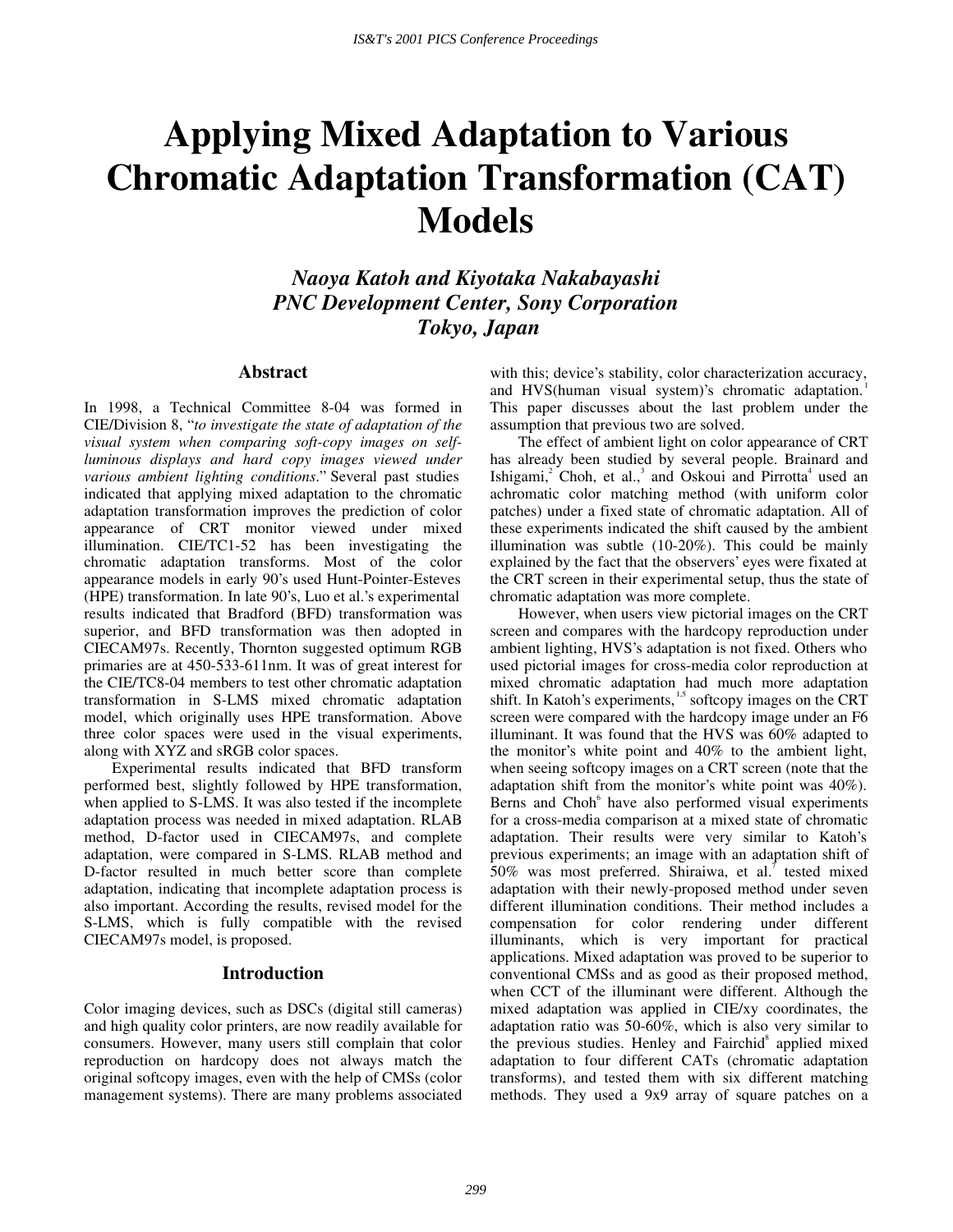# **Applying Mixed Adaptation to Various Chromatic Adaptation Transformation (CAT) Models**

*Naoya Katoh and Kiyotaka Nakabayashi PNC Development Center, Sony Corporation Tokyo, Japan* 

#### **Abstract**

In 1998, a Technical Committee 8-04 was formed in CIE/Division 8, " *to investigate the state of adaptation of the visual system when comparing soft-copy images on selfluminous displays and hard copy images viewed under various ambient lighting conditions*." Several past studies indicated that applying mixed adaptation to the chromatic adaptation transformation improves the prediction of color appearance of CRT monitor viewed under mixed illumination. CIE/TC1-52 has been investigating the chromatic adaptation transforms. Most of the color appearance models in early 90's used Hunt-Pointer-Esteves (HPE) transformation. In late 90's, Luo et al.'s experimental results indicated that Bradford (BFD) transformation was superior, and BFD transformation was then adopted in CIECAM97s. Recently, Thornton suggested optimum RGB primaries are at 450-533-611nm. It was of great interest for the CIE/TC8-04 members to test other chromatic adaptation transformation in S-LMS mixed chromatic adaptation model, which originally uses HPE transformation. Above three color spaces were used in the visual experiments, along with XYZ and sRGB color spaces.

 Experimental results indicated that BFD transform performed best, slightly followed by HPE transformation, when applied to S-LMS. It was also tested if the incomplete adaptation process was needed in mixed adaptation. RLAB method, D-factor used in CIECAM97s, and complete adaptation, were compared in S-LMS. RLAB method and D-factor resulted in much better score than complete adaptation, indicating that incomplete adaptation process is also important. According the results, revised model for the S-LMS, which is fully compatible with the revised CIECAM97s model, is proposed.

## **Introduction**

Color imaging devices, such as DSCs (digital still cameras) and high quality color printers, are now readily available for consumers. However, many users still complain that color reproduction on hardcopy does not always match the original softcopy images, even with the help of CMSs (color management systems). There are many problems associated with this; device's stability, color characterization accuracy, and HVS(human visual system)'s chromatic adaptation.<sup>1</sup> This paper discusses about the last problem under the assumption that previous two are solved.

 The effect of ambient light on color appearance of CRT has already been studied by several people. Brainard and Ishigami, $2$  Choh, et al., $3$  and Oskoui and Pirrotta<sup>4</sup> used an achromatic color matching method (with uniform color patches) under a fixed state of chromatic adaptation. All of these experiments indicated the shift caused by the ambient illumination was subtle (10-20%). This could be mainly explained by the fact that the observers' eyes were fixated at the CRT screen in their experimental setup, thus the state of chromatic adaptation was more complete.

 However, when users view pictorial images on the CRT screen and compares with the hardcopy reproduction under ambient lighting, HVS's adaptation is not fixed. Others who used pictorial images for cross-media color reproduction at mixed chromatic adaptation had much more adaptation shift. In Katoh's experiments,<sup>1,5</sup> softcopy images on the CRT screen were compared with the hardcopy image under an F6 illuminant. It was found that the HVS was 60% adapted to the monitor's white point and 40% to the ambient light, when seeing softcopy images on a CRT screen (note that the adaptation shift from the monitor's white point was 40%). Berns and Choh<sup>6</sup> have also performed visual experiments for a cross-media comparison at a mixed state of chromatic adaptation. Their results were very similar to Katoh's previous experiments; an image with an adaptation shift of 50% was most preferred. Shiraiwa, et al.<sup>7</sup> tested mixed adaptation with their newly-proposed method under seven different illumination conditions. Their method includes a compensation for color rendering under different illuminants, which is very important for practical applications. Mixed adaptation was proved to be superior to conventional CMSs and as good as their proposed method, when CCT of the illuminant were different. Although the mixed adaptation was applied in CIE/xy coordinates, the adaptation ratio was 50-60%, which is also very similar to the previous studies. Henley and Fairchid<sup>8</sup> applied mixed adaptation to four different CATs (chromatic adaptation transforms), and tested them with six different matching methods. They used a 9x9 array of square patches on a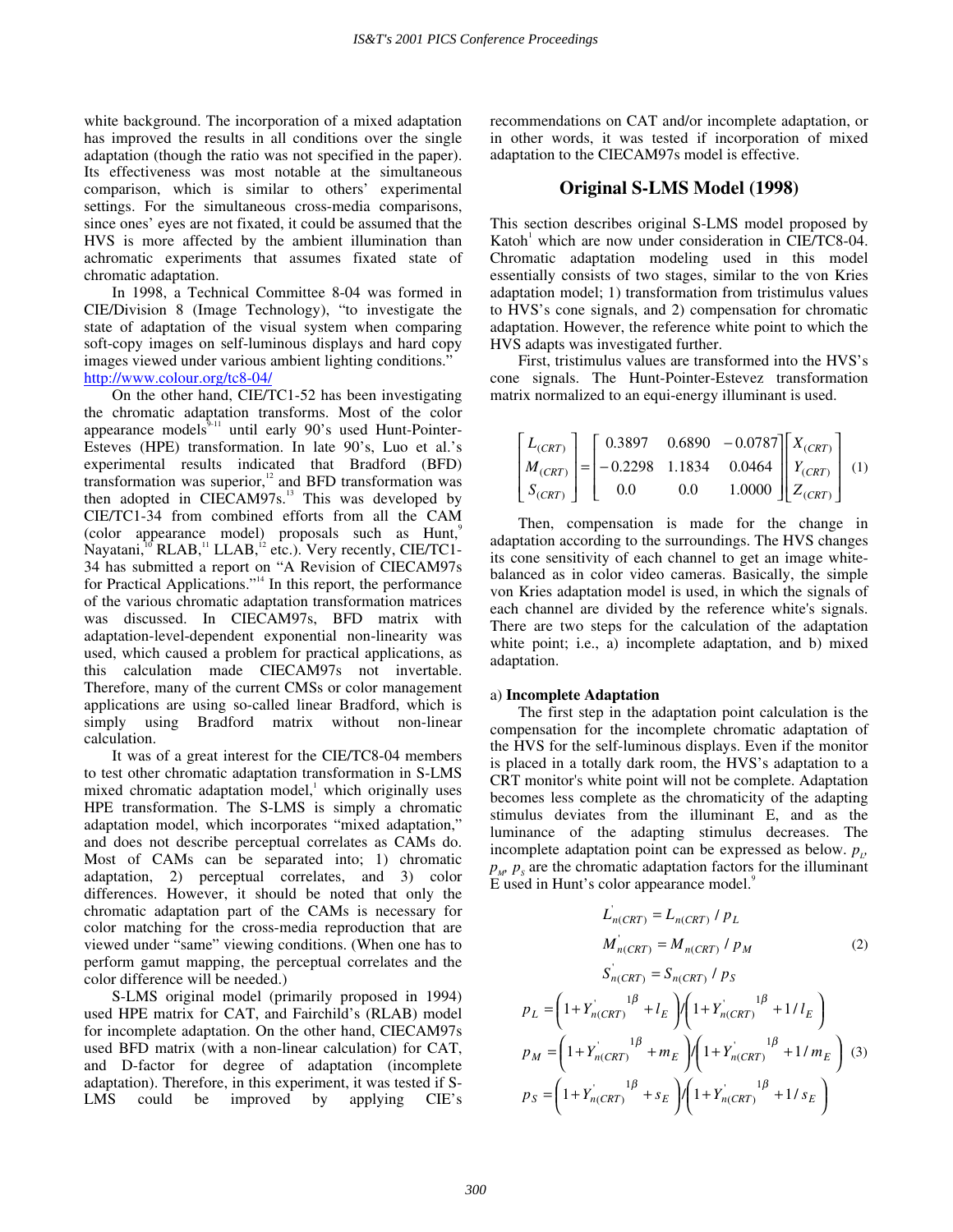white background. The incorporation of a mixed adaptation has improved the results in all conditions over the single adaptation (though the ratio was not specified in the paper). Its effectiveness was most notable at the simultaneous comparison, which is similar to others' experimental settings. For the simultaneous cross-media comparisons, since ones' eyes are not fixated, it could be assumed that the HVS is more affected by the ambient illumination than achromatic experiments that assumes fixated state of chromatic adaptation.

In 1998, a Technical Committee 8-04 was formed in CIE/Division 8 (Image Technology), "to investigate the state of adaptation of the visual system when comparing soft-copy images on self-luminous displays and hard copy images viewed under various ambient lighting conditions." http://www.colour.org/tc8-04/

 On the other hand, CIE/TC1-52 has been investigating the chromatic adaptation transforms. Most of the color appearance models ${}^{3}_{211}$  until early 90's used Hunt-Pointer-Esteves (HPE) transformation. In late 90's, Luo et al.'s experimental results indicated that Bradford (BFD) transformation was superior, $12$  and BFD transformation was then adopted in  $CIECAM97s.<sup>13</sup>$  This was developed by CIE/TC1-34 from combined efforts from all the CAM (color appearance model) proposals such as Hunt,<sup>9</sup> Nayatani, $^{10}$  RLAB, $^{11}$  LLAB, $^{12}$  etc.). Very recently, CIE/TC1-34 has submitted a report on "A Revision of CIECAM97s for Practical Applications." 14 In this report, the performance of the various chromatic adaptation transformation matrices was discussed. In CIECAM97s, BFD matrix with adaptation-level-dependent exponential non-linearity was used, which caused a problem for practical applications, as this calculation made CIECAM97s not invertable. Therefore, many of the current CMSs or color management applications are using so-called linear Bradford, which is simply using Bradford matrix without non-linear calculation.

 It was of a great interest for the CIE/TC8-04 members to test other chromatic adaptation transformation in S-LMS mixed chromatic adaptation model,<sup>1</sup> which originally uses HPE transformation. The S-LMS is simply a chromatic adaptation model, which incorporates "mixed adaptation," and does not describe perceptual correlates as CAMs do. Most of CAMs can be separated into; 1) chromatic adaptation, 2) perceptual correlates, and 3) color differences. However, it should be noted that only the chromatic adaptation part of the CAMs is necessary for color matching for the cross-media reproduction that are viewed under "same" viewing conditions. (When one has to perform gamut mapping, the perceptual correlates and the color difference will be needed.)

 S-LMS original model (primarily proposed in 1994) used HPE matrix for CAT, and Fairchild's (RLAB) model for incomplete adaptation. On the other hand, CIECAM97s used BFD matrix (with a non-linear calculation) for CAT, and D-factor for degree of adaptation (incomplete adaptation). Therefore, in this experiment, it was tested if S-LMS could be improved by applying CIE's recommendations on CAT and/or incomplete adaptation, or in other words, it was tested if incorporation of mixed adaptation to the CIECAM97s model is effective.

#### **Original S-LMS Model (1998)**

This section describes original S-LMS model proposed by Katoh<sup>1</sup> which are now under consideration in CIE/TC8-04. Chromatic adaptation modeling used in this model essentially consists of two stages, similar to the von Kries adaptation model; 1) transformation from tristimulus values to HVS's cone signals, and 2) compensation for chromatic adaptation. However, the reference white point to which the HVS adapts was investigated further.

First, tristimulus values are transformed into the HVS's cone signals. The Hunt-Pointer-Estevez transformation matrix normalized to an equi-energy illuminant is used.

$$
\begin{bmatrix} L_{(CRT)} \ M_{(CRT)} \ S_{(CRT)} \end{bmatrix} = \begin{bmatrix} 0.3897 & 0.6890 & -0.0787 \ -0.2298 & 1.1834 & 0.0464 \ 0.0 & 0.0 & 1.0000 \end{bmatrix} \begin{bmatrix} X_{(CRT)} \ Y_{(CRT)} \ Z_{(CRT)} \end{bmatrix} (1)
$$

Then, compensation is made for the change in adaptation according to the surroundings. The HVS changes its cone sensitivity of each channel to get an image whitebalanced as in color video cameras. Basically, the simple von Kries adaptation model is used, in which the signals of each channel are divided by the reference white's signals. There are two steps for the calculation of the adaptation white point; i.e., a) incomplete adaptation, and b) mixed adaptation.

#### a) **Incomplete Adaptation**

 The first step in the adaptation point calculation is the compensation for the incomplete chromatic adaptation of the HVS for the self-luminous displays. Even if the monitor is placed in a totally dark room, the HVS's adaptation to a CRT monitor's white point will not be complete. Adaptation becomes less complete as the chromaticity of the adapting stimulus deviates from the illuminant E, and as the luminance of the adapting stimulus decreases. The incomplete adaptation point can be expressed as below.  $p_{\mu}$ ,  $p_w$ ,  $p_s$  are the chromatic adaptation factors for the illuminant E used in Hunt's color appearance model.<sup>9</sup>

$$
L_{n(CRT)} = L_{n(CRT)} / p_L
$$
  
\n
$$
M_{n(CRT)} = M_{n(CRT)} / p_M
$$
\n(2)  
\n
$$
S_{n(CRT)} = S_{n(CRT)} / p_S
$$
  
\n
$$
p_L = \left(1 + Y_{n(CRT)}^{1\beta} + l_E\right) / \left(1 + Y_{n(CRT)}^{1\beta} + 1/l_E\right)
$$
  
\n
$$
p_M = \left(1 + Y_{n(CRT)}^{1\beta} + m_E\right) / \left(1 + Y_{n(CRT)}^{1\beta} + 1/m_E\right)
$$
\n(3)  
\n
$$
p_S = \left(1 + Y_{n(CRT)}^{1\beta} + s_E\right) / \left(1 + Y_{n(CRT)}^{1\beta} + 1/s_E\right)
$$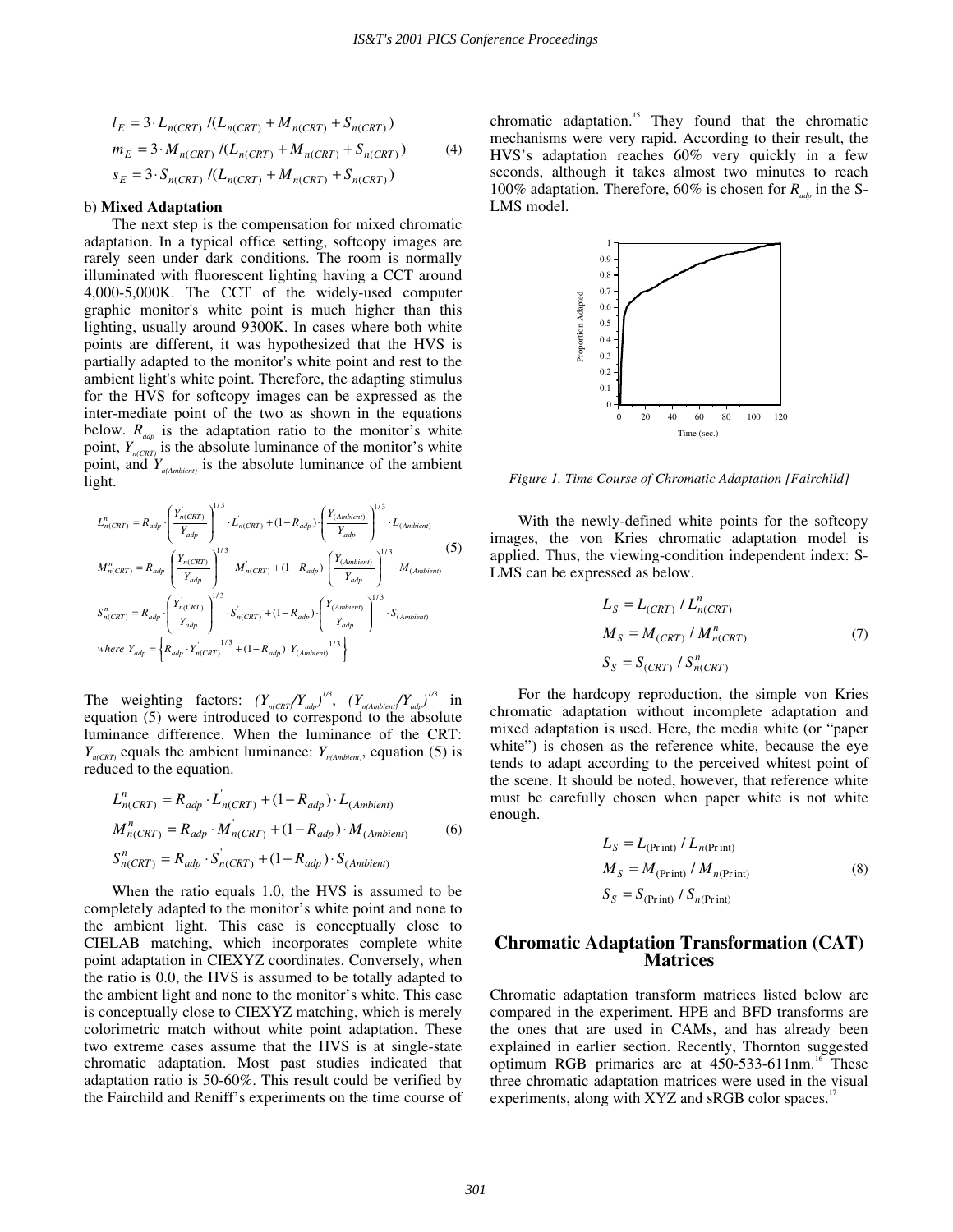$$
l_E = 3 \cdot L_{n(CRT)} / (L_{n(CRT)} + M_{n(CRT)} + S_{n(CRT)})
$$
  
\n
$$
m_E = 3 \cdot M_{n(CRT)} / (L_{n(CRT)} + M_{n(CRT)} + S_{n(CRT)})
$$
\n
$$
s_E = 3 \cdot S_{n(CRT)} / (L_{n(CRT)} + M_{n(CRT)} + S_{n(CRT)})
$$
\n(4)

#### b) **Mixed Adaptation**

 The next step is the compensation for mixed chromatic adaptation. In a typical office setting, softcopy images are rarely seen under dark conditions. The room is normally illuminated with fluorescent lighting having a CCT around 4,000-5,000K. The CCT of the widely-used computer graphic monitor's white point is much higher than this lighting, usually around 9300K. In cases where both white points are different, it was hypothesized that the HVS is partially adapted to the monitor's white point and rest to the ambient light's white point. Therefore, the adapting stimulus for the HVS for softcopy images can be expressed as the inter-mediate point of the two as shown in the equations below.  $R_{\text{adv}}$  is the adaptation ratio to the monitor's white point,  $Y_{n(CRT)}$  is the absolute luminance of the monitor's white point, and *Yn(Ambient)* is the absolute luminance of the ambient light.

$$
L_{n(CRT)}^{n} = R_{adp} \cdot \left( \frac{Y_{n(CRT)}^{'}Y_{adp}}{Y_{adp}} \right)^{1/3} \cdot L_{n(CRT)} + (1 - R_{adp}) \cdot \left( \frac{Y_{(Ambient)}}{Y_{adp}} \right)^{1/3} \cdot L_{(Ambient)}
$$
\n
$$
M_{n(CRT)}^{n} = R_{adp} \cdot \left( \frac{Y_{n(CRT)}^{'}Y_{adp}}{Y_{adp}} \right)^{1/3} \cdot M_{n(CRT)}^{'} + (1 - R_{adp}) \cdot \left( \frac{Y_{(Ambient)}}{Y_{adp}} \right)^{1/3} \cdot M_{(Ambient)}
$$
\n
$$
S_{n(CRT)}^{n} = R_{adp} \cdot \left( \frac{Y_{n(CRT)}^{'}Y_{adp}}{Y_{adp}} \right)^{1/3} \cdot S_{n(CRT)}^{'} + (1 - R_{adp}) \cdot \left( \frac{Y_{(Ambient)}}{Y_{adp}} \right)^{1/3} \cdot S_{(Ambient)}
$$
\nwhere  $Y_{adp} = \left\{ R_{adp} \cdot Y_{n(CRT)}^{1/3} + (1 - R_{adp}) \cdot Y_{(Ambient)}^{1/3} \right\}$ 

The weighting factors:  $(Y_{n(CRT}/Y_{\text{adp}})^{1/3}, (Y_{n(Ambient}/Y_{\text{adp}})^{1/3})$  in equation (5) were introduced to correspond to the absolute luminance difference. When the luminance of the CRT:  $Y_{n(CRT)}$  equals the ambient luminance:  $Y_{n(Ambient)}$ , equation (5) is reduced to the equation.

$$
L_{n(CRT)}^n = R_{adp} \cdot L_{n(CRT)} + (1 - R_{adp}) \cdot L_{(Ambient)}
$$
  
\n
$$
M_{n(CRT)}^n = R_{adp} \cdot M_{n(CRT)} + (1 - R_{adp}) \cdot M_{(Ambient)}
$$
  
\n
$$
S_{n(CRT)}^n = R_{adp} \cdot S_{n(CRT)} + (1 - R_{adp}) \cdot S_{(Ambient)}
$$
  
\n(6)

When the ratio equals 1.0, the HVS is assumed to be completely adapted to the monitor's white point and none to the ambient light. This case is conceptually close to CIELAB matching, which incorporates complete white point adaptation in CIEXYZ coordinates. Conversely, when the ratio is 0.0, the HVS is assumed to be totally adapted to the ambient light and none to the monitor's white. This case is conceptually close to CIEXYZ matching, which is merely colorimetric match without white point adaptation. These two extreme cases assume that the HVS is at single-state chromatic adaptation. Most past studies indicated that adaptation ratio is 50-60%. This result could be verified by the Fairchild and Reniff's experiments on the time course of chromatic adaptation.15 They found that the chromatic mechanisms were very rapid. According to their result, the HVS's adaptation reaches 60% very quickly in a few seconds, although it takes almost two minutes to reach 100% adaptation. Therefore, 60% is chosen for *Radp* in the S-LMS model.



*Figure 1. Time Course of Chromatic Adaptation [Fairchild]* 

With the newly-defined white points for the softcopy images, the von Kries chromatic adaptation model is applied. Thus, the viewing-condition independent index: S-LMS can be expressed as below.

$$
L_S = L_{(CRT)} / L_{n(CRT)}^n
$$
  
\n
$$
M_S = M_{(CRT)} / M_{n(CRT)}^n
$$
\n
$$
S_S = S_{(CRT)} / S_{n(CRT)}^n
$$
\n(7)

For the hardcopy reproduction, the simple von Kries chromatic adaptation without incomplete adaptation and mixed adaptation is used. Here, the media white (or "paper white") is chosen as the reference white, because the eye tends to adapt according to the perceived whitest point of the scene. It should be noted, however, that reference white must be carefully chosen when paper white is not white enough.

$$
L_S = L_{(Pr\text{int})} / L_{n(Pr\text{int})}
$$
  
\n
$$
M_S = M_{(Pr\text{int})} / M_{n(Pr\text{int})}
$$
\n(8)  
\n
$$
S_S = S_{(Pr\text{int})} / S_{n(Pr\text{int})}
$$

### **Chromatic Adaptation Transformation (CAT) Matrices**

Chromatic adaptation transform matrices listed below are compared in the experiment. HPE and BFD transforms are the ones that are used in CAMs, and has already been explained in earlier section. Recently, Thornton suggested optimum RGB primaries are at  $450-533-611$ nm.<sup>16</sup> These three chromatic adaptation matrices were used in the visual experiments, along with XYZ and sRGB color spaces.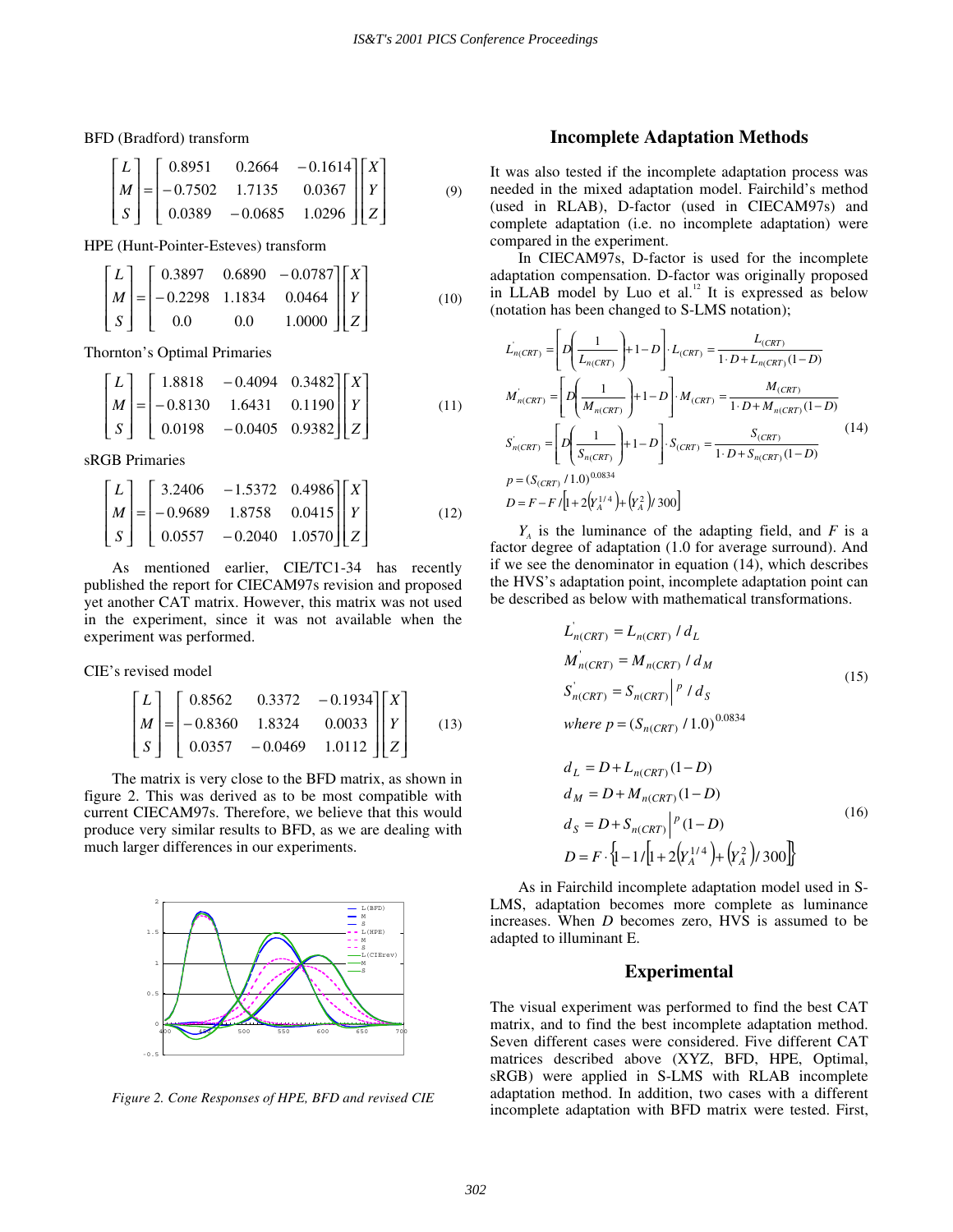BFD (Bradford) transform

$$
\begin{bmatrix} L \\ M \\ S \end{bmatrix} = \begin{bmatrix} 0.8951 & 0.2664 & -0.1614 \\ -0.7502 & 1.7135 & 0.0367 \\ 0.0389 & -0.0685 & 1.0296 \end{bmatrix} \begin{bmatrix} X \\ Y \\ Z \end{bmatrix}
$$
(9)

HPE (Hunt-Pointer-Esteves) transform

$$
\begin{bmatrix} L \\ M \\ S \end{bmatrix} = \begin{bmatrix} 0.3897 & 0.6890 & -0.0787 \\ -0.2298 & 1.1834 & 0.0464 \\ 0.0 & 0.0 & 1.0000 \end{bmatrix} \begin{bmatrix} X \\ Y \\ Z \end{bmatrix}
$$
(10)

Thornton's Optimal Primaries

$$
\begin{bmatrix} L \\ M \\ S \end{bmatrix} = \begin{bmatrix} 1.8818 & -0.4094 & 0.3482 \\ -0.8130 & 1.6431 & 0.1190 \\ 0.0198 & -0.0405 & 0.9382 \end{bmatrix} \begin{bmatrix} X \\ Y \\ Z \end{bmatrix}
$$
(11)

sRGB Primaries

$$
\begin{bmatrix} L \\ M \\ S \end{bmatrix} = \begin{bmatrix} 3.2406 & -1.5372 & 0.4986 \\ -0.9689 & 1.8758 & 0.0415 \\ 0.0557 & -0.2040 & 1.0570 \end{bmatrix} \begin{bmatrix} X \\ Y \\ Z \end{bmatrix}
$$
(12)

As mentioned earlier, CIE/TC1-34 has recently published the report for CIECAM97s revision and proposed yet another CAT matrix. However, this matrix was not used in the experiment, since it was not available when the experiment was performed.

CIE's revised model

$$
\begin{bmatrix} L \\ M \\ S \end{bmatrix} = \begin{bmatrix} 0.8562 & 0.3372 & -0.1934 \\ -0.8360 & 1.8324 & 0.0033 \\ 0.0357 & -0.0469 & 1.0112 \end{bmatrix} \begin{bmatrix} X \\ Y \\ Z \end{bmatrix}
$$
(13)

The matrix is very close to the BFD matrix, as shown in figure 2. This was derived as to be most compatible with current CIECAM97s. Therefore, we believe that this would produce very similar results to BFD, as we are dealing with much larger differences in our experiments.



*Figure 2. Cone Responses of HPE, BFD and revised CIE* 

## **Incomplete Adaptation Methods**

It was also tested if the incomplete adaptation process was needed in the mixed adaptation model. Fairchild's method (used in RLAB), D-factor (used in CIECAM97s) and complete adaptation (i.e. no incomplete adaptation) were compared in the experiment.

 In CIECAM97s, D-factor is used for the incomplete adaptation compensation. D-factor was originally proposed in LLAB model by Luo et al.<sup>12</sup> It is expressed as below (notation has been changed to S-LMS notation);

$$
L_{n(CRT)} = D\left[D\left(\frac{1}{L_{n(CRT)}}\right) + 1 - D\right] \cdot L_{(CRT)} = \frac{L_{(CRT)}}{1 \cdot D + L_{n(CRT)} (1 - D)}
$$
\n
$$
M_{n(CRT)} = D\left[D\left(\frac{1}{M_{n(CRT)}}\right) + 1 - D\right] \cdot M_{(CRT)} = \frac{M_{(CRT)}}{1 \cdot D + M_{n(CRT)} (1 - D)}
$$
\n
$$
S_{n(CRT)} = D\left[D\left(\frac{1}{S_{n(CRT)}}\right) + 1 - D\right] \cdot S_{(CRT)} = \frac{S_{(CRT)}}{1 \cdot D + S_{n(CRT)} (1 - D)}
$$
\n
$$
p = (S_{(CRT)} / 1.0)^{0.0834}
$$
\n
$$
D = F - F / [1 + 2(Y_{n}^{1/4}) + (Y_{n}^{2}) / 300]
$$
\n(14)

 $Y_A$  is the luminance of the adapting field, and *F* is a factor degree of adaptation (1.0 for average surround). And if we see the denominator in equation (14), which describes the HVS's adaptation point, incomplete adaptation point can be described as below with mathematical transformations.

$$
L'_{n(CRT)} = L_{n(CRT)} / d_L
$$
  
\n
$$
M'_{n(CRT)} = M_{n(CRT)} / d_M
$$
  
\n
$$
S'_{n(CRT)} = S_{n(CRT)} / P / d_S
$$
  
\nwhere  $p = (S_{n(CRT)} / 1.0)^{0.0834}$   
\n
$$
d_L = D + L_{n(CRT)} (1 - D)
$$

$$
a_L = D + L_{n(CRT)} (1 - D)
$$
  
\n
$$
d_M = D + M_{n(CRT)} (1 - D)
$$
  
\n
$$
d_S = D + S_{n(CRT)} \Big|^{p} (1 - D)
$$
  
\n
$$
D = F \cdot \Big\{1 - 1/\Big[1 + 2(Y_A^{1/4}) + (Y_A^2)/300\Big]\Big\}
$$
 (16)

As in Fairchild incomplete adaptation model used in S-LMS, adaptation becomes more complete as luminance increases. When *D* becomes zero, HVS is assumed to be adapted to illuminant E.

#### **Experimental**

The visual experiment was performed to find the best CAT matrix, and to find the best incomplete adaptation method. Seven different cases were considered. Five different CAT matrices described above (XYZ, BFD, HPE, Optimal, sRGB) were applied in S-LMS with RLAB incomplete adaptation method. In addition, two cases with a different incomplete adaptation with BFD matrix were tested. First,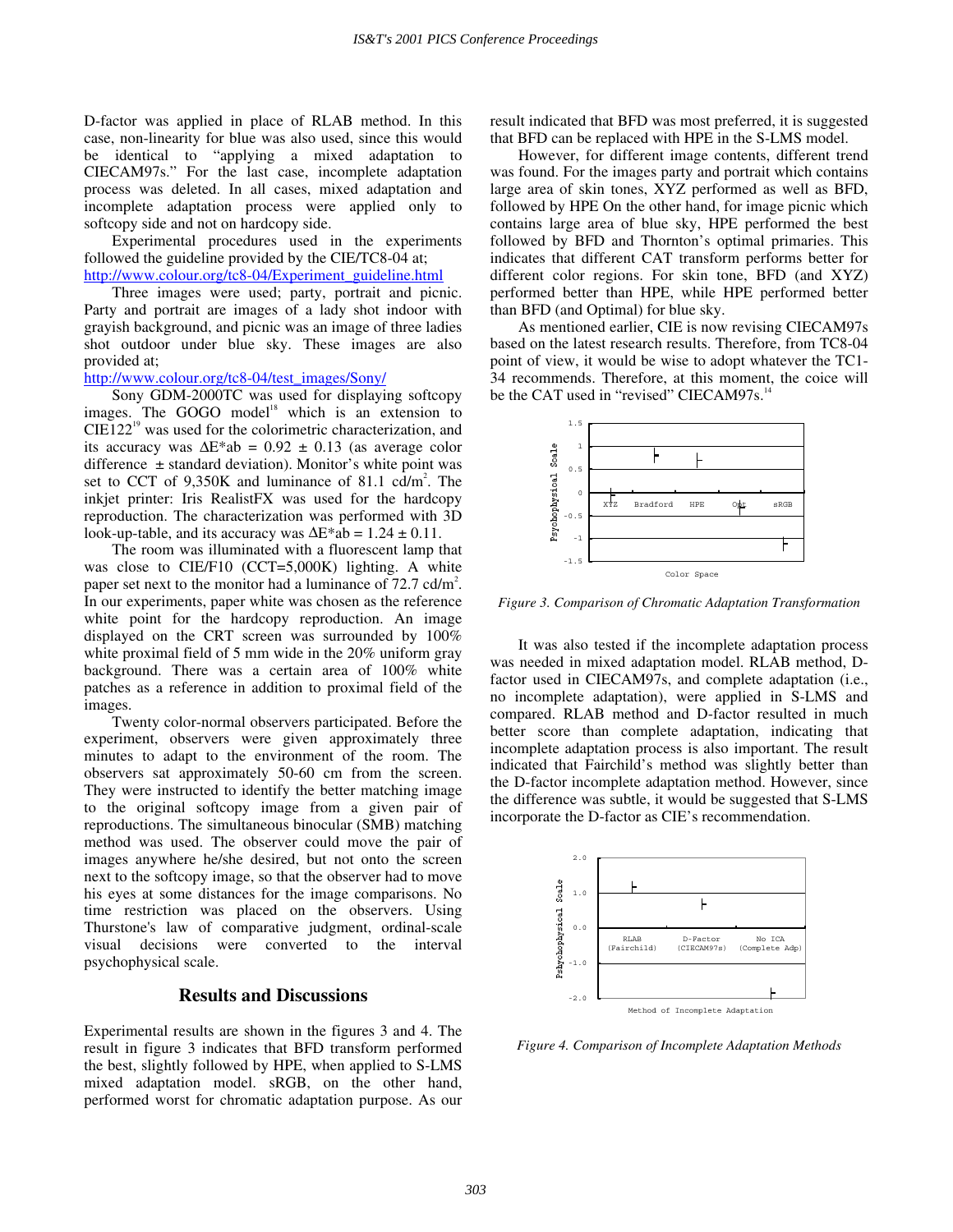D-factor was applied in place of RLAB method. In this case, non-linearity for blue was also used, since this would be identical to "applying a mixed adaptation to CIECAM97s." For the last case, incomplete adaptation process was deleted. In all cases, mixed adaptation and incomplete adaptation process were applied only to softcopy side and not on hardcopy side.

 Experimental procedures used in the experiments followed the guideline provided by the CIE/TC8-04 at; http://www.colour.org/tc8-04/Experiment\_guideline.html

Three images were used; party, portrait and picnic. Party and portrait are images of a lady shot indoor with grayish background, and picnic was an image of three ladies shot outdoor under blue sky. These images are also provided at;

# http://www.colour.org/tc8-04/test\_images/Sony/

 Sony GDM-2000TC was used for displaying softcopy images. The GOGO model<sup>18</sup> which is an extension to  $CIE122<sup>19</sup>$  was used for the colorimetric characterization, and its accuracy was  $\Delta E^*$ ab = 0.92 ± 0.13 (as average color difference  $\pm$  standard deviation). Monitor's white point was set to CCT of  $9,350K$  and luminance of 81.1 cd/m<sup>2</sup>. The inkjet printer: Iris RealistFX was used for the hardcopy reproduction. The characterization was performed with 3D look-up-table, and its accuracy was  $\Delta E^*$ ab = 1.24 ± 0.11.

 The room was illuminated with a fluorescent lamp that was close to CIE/F10 (CCT=5,000K) lighting. A white paper set next to the monitor had a luminance of  $72.7$  cd/m<sup>2</sup>. In our experiments, paper white was chosen as the reference white point for the hardcopy reproduction. An image displayed on the CRT screen was surrounded by 100% white proximal field of 5 mm wide in the 20% uniform gray background. There was a certain area of 100% white patches as a reference in addition to proximal field of the images.

 Twenty color-normal observers participated. Before the experiment, observers were given approximately three minutes to adapt to the environment of the room. The observers sat approximately 50-60 cm from the screen. They were instructed to identify the better matching image to the original softcopy image from a given pair of reproductions. The simultaneous binocular (SMB) matching method was used. The observer could move the pair of images anywhere he/she desired, but not onto the screen next to the softcopy image, so that the observer had to move his eyes at some distances for the image comparisons. No time restriction was placed on the observers. Using Thurstone's law of comparative judgment, ordinal-scale visual decisions were converted to the interval psychophysical scale.

## **Results and Discussions**

Experimental results are shown in the figures 3 and 4. The result in figure 3 indicates that BFD transform performed the best, slightly followed by HPE, when applied to S-LMS mixed adaptation model. sRGB, on the other hand, performed worst for chromatic adaptation purpose. As our result indicated that BFD was most preferred, it is suggested that BFD can be replaced with HPE in the S-LMS model.

 However, for different image contents, different trend was found. For the images party and portrait which contains large area of skin tones, XYZ performed as well as BFD, followed by HPE On the other hand, for image picnic which contains large area of blue sky, HPE performed the best followed by BFD and Thornton's optimal primaries. This indicates that different CAT transform performs better for different color regions. For skin tone, BFD (and XYZ) performed better than HPE, while HPE performed better than BFD (and Optimal) for blue sky.

 As mentioned earlier, CIE is now revising CIECAM97s based on the latest research results. Therefore, from TC8-04 point of view, it would be wise to adopt whatever the TC1- 34 recommends. Therefore, at this moment, the coice will be the CAT used in "revised" CIECAM97s.<sup>1</sup>



*Figure 3. Comparison of Chromatic Adaptation Transformation* 

It was also tested if the incomplete adaptation process was needed in mixed adaptation model. RLAB method, Dfactor used in CIECAM97s, and complete adaptation (i.e., no incomplete adaptation), were applied in S-LMS and compared. RLAB method and D-factor resulted in much better score than complete adaptation, indicating that incomplete adaptation process is also important. The result indicated that Fairchild's method was slightly better than the D-factor incomplete adaptation method. However, since the difference was subtle, it would be suggested that S-LMS incorporate the D-factor as CIE's recommendation.



*Figure 4. Comparison of Incomplete Adaptation Methods*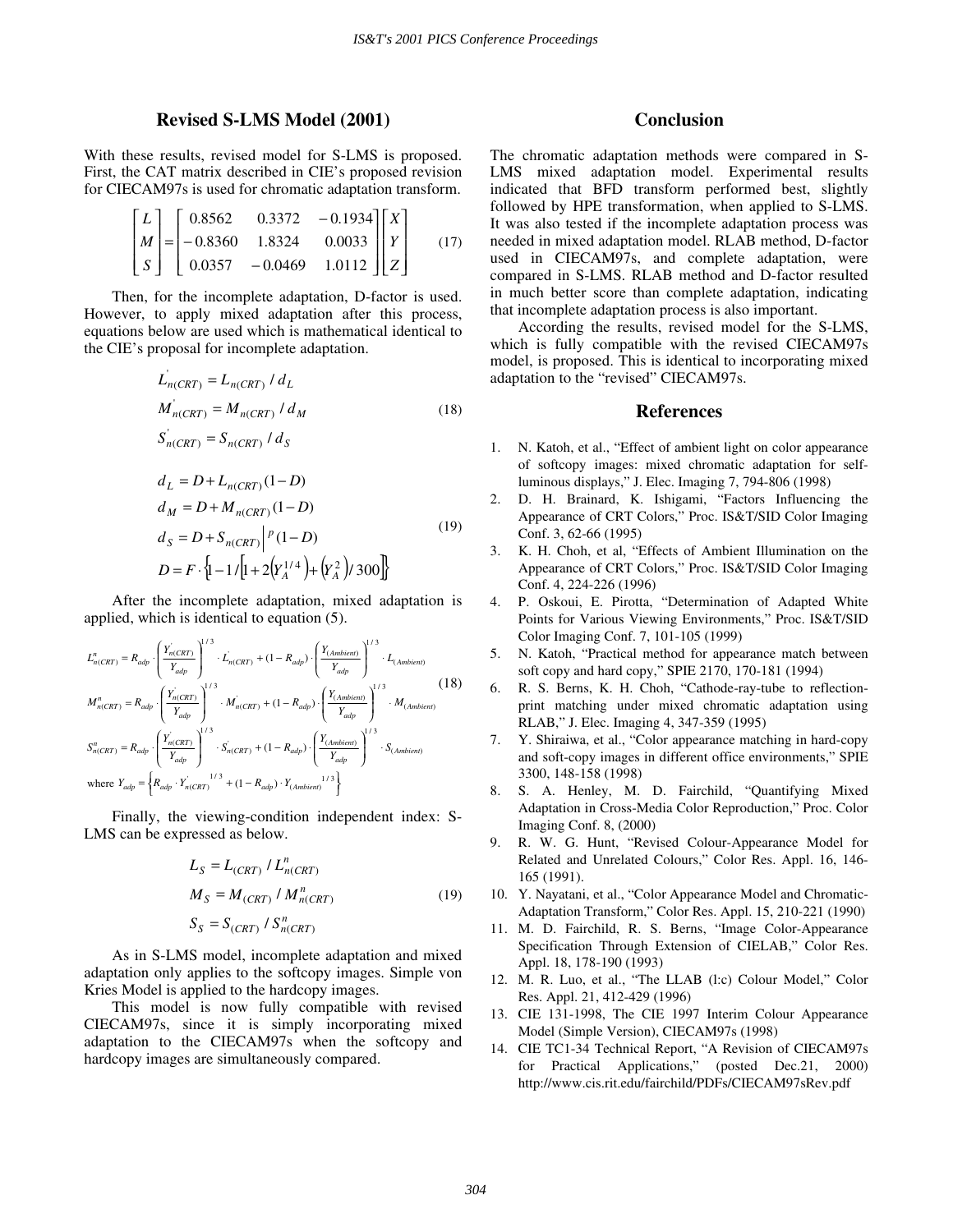#### **Revised S-LMS Model (2001)**

With these results, revised model for S-LMS is proposed. First, the CAT matrix described in CIE's proposed revision for CIECAM97s is used for chromatic adaptation transform.

$$
\begin{bmatrix} L \\ M \\ S \end{bmatrix} = \begin{bmatrix} 0.8562 & 0.3372 & -0.1934 \\ -0.8360 & 1.8324 & 0.0033 \\ 0.0357 & -0.0469 & 1.0112 \end{bmatrix} \begin{bmatrix} X \\ Y \\ Z \end{bmatrix}
$$
(17)

Then, for the incomplete adaptation, D-factor is used. However, to apply mixed adaptation after this process, equations below are used which is mathematical identical to the CIE's proposal for incomplete adaptation.

$$
L_{n(CRT)} = L_{n(CRT)} / d_L
$$
  
\n
$$
M_{n(CRT)} = M_{n(CRT)} / d_M
$$
\n(18)  
\n
$$
S_{n(CRT)}' = S_{n(CRT)} / d_S
$$
  
\n
$$
d_L = D + L_{n(CRT)} (1 - D)
$$
  
\n
$$
d_M = D + M_{n(CRT)} (1 - D)
$$
  
\n
$$
d_S = D + S_{n(CRT)} / (1 - D)
$$
\n(19)  
\n
$$
D = F \cdot \{1 - 1 / [1 + 2(Y_A^{1/4}) + (Y_A^2) / 300]\}
$$

After the incomplete adaptation, mixed adaptation is applied, which is identical to equation (5).

$$
L_{n(CRT)}^{n} = R_{adp} \cdot \left(\frac{Y_{n(CRT)}^{'}P_{adp}}{Y_{adp}}\right)^{1/3} \cdot L_{n(CRT)} + (1 - R_{adp}) \cdot \left(\frac{Y_{(Ambient)}}{Y_{adp}}\right)^{1/3} \cdot L_{(Ambient)}
$$
  
\n
$$
M_{n(CRT)}^{n} = R_{adp} \cdot \left(\frac{Y_{n(CRT)}^{'}P_{adp}}{Y_{adp}}\right)^{1/3} \cdot M_{n(CRT)}^{'} + (1 - R_{adp}) \cdot \left(\frac{Y_{(Ambient)}}{Y_{adp}}\right)^{1/3} \cdot M_{(Ambient)}
$$
  
\n
$$
S_{n(CRT)}^{n} = R_{adp} \cdot \left(\frac{Y_{n(CRT)}^{'}P_{adp}}{Y_{adp}}\right)^{1/3} \cdot S_{n(CRT)}^{'} + (1 - R_{adp}) \cdot \left(\frac{Y_{(Ambient)}}{Y_{adp}}\right)^{1/3} \cdot S_{(Ambient)}
$$
  
\nwhere  $Y_{adp} = \left\{R_{adp} \cdot Y_{n(CRT)}^{1/3} + (1 - R_{adp}) \cdot Y_{(Ambient)}^{1/3}\right\}$ 

Finally, the viewing-condition independent index: S-LMS can be expressed as below.

$$
L_{S} = L_{(CRT)} / L_{n(CRT)}^{n}
$$
  
\n
$$
M_{S} = M_{(CRT)} / M_{n(CRT)}^{n}
$$
  
\n
$$
S_{S} = S_{(CRT)} / S_{n(CRT)}^{n}
$$
\n(19)

As in S-LMS model, incomplete adaptation and mixed adaptation only applies to the softcopy images. Simple von Kries Model is applied to the hardcopy images.

This model is now fully compatible with revised CIECAM97s, since it is simply incorporating mixed adaptation to the CIECAM97s when the softcopy and hardcopy images are simultaneously compared.

# **Conclusion**

The chromatic adaptation methods were compared in S-LMS mixed adaptation model. Experimental results indicated that BFD transform performed best, slightly followed by HPE transformation, when applied to S-LMS. It was also tested if the incomplete adaptation process was needed in mixed adaptation model. RLAB method, D-factor used in CIECAM97s, and complete adaptation, were compared in S-LMS. RLAB method and D-factor resulted in much better score than complete adaptation, indicating that incomplete adaptation process is also important.

 According the results, revised model for the S-LMS, which is fully compatible with the revised CIECAM97s model, is proposed. This is identical to incorporating mixed adaptation to the "revised" CIECAM97s.

#### **References**

- 1. N. Katoh, et al., "Effect of ambient light on color appearance of softcopy images: mixed chromatic adaptation for selfluminous displays," J. Elec. Imaging 7, 794-806 (1998)
- 2. D. H. Brainard, K. Ishigami, "Factors Influencing the Appearance of CRT Colors," Proc. IS&T/SID Color Imaging Conf. 3, 62-66 (1995)
- 3. K. H. Choh, et al, " Effects of Ambient Illumination on the Appearance of CRT Colors," Proc. IS&T/SID Color Imaging Conf. 4, 224-226 (1996)
- 4. P. Oskoui, E. Pirotta, " Determination of Adapted White Points for Various Viewing Environments," Proc. IS&T/SID Color Imaging Conf. 7, 101-105 (1999)
- 5. N. Katoh, "Practical method for appearance match between soft copy and hard copy," SPIE 2170, 170-181 (1994)
- 6. R. S. Berns, K. H. Choh, "Cathode-ray-tube to reflectionprint matching under mixed chromatic adaptation using RLAB," J. Elec. Imaging 4, 347-359 (1995)
- 7. Y. Shiraiwa, et al., "Color appearance matching in hard-copy and soft-copy images in different office environments," SPIE 3300, 148-158 (1998)
- 8. S. A. Henley, M. D. Fairchild, "Quantifying Mixed Adaptation in Cross-Media Color Reproduction," Proc. Color Imaging Conf. 8, (2000)
- 9. R. W. G. Hunt, "Revised Colour-Appearance Model for Related and Unrelated Colours," Color Res. Appl. 16, 146- 165 (1991).
- 10. Y. Nayatani, et al., "Color Appearance Model and Chromatic-Adaptation Transform," Color Res. Appl. 15, 210-221 (1990)
- 11. M. D. Fairchild, R. S. Berns, "Image Color-Appearance Specification Through Extension of CIELAB," Color Res. Appl. 18, 178-190 (1993)
- 12. M. R. Luo, et al., "The LLAB (l:c) Colour Model," Color Res. Appl. 21, 412-429 (1996)
- 13. CIE 131-1998, The CIE 1997 Interim Colour Appearance Model (Simple Version), CIECAM97s (1998)
- 14. CIE TC1-34 Technical Report, "A Revision of CIECAM97s for Practical Applications," (posted Dec.21, 2000) http://www.cis.rit.edu/fairchild/PDFs/CIECAM97sRev.pdf